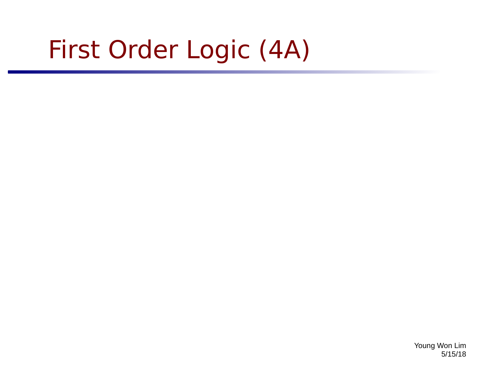# First Order Logic (4A)

Young Won Lim 5/15/18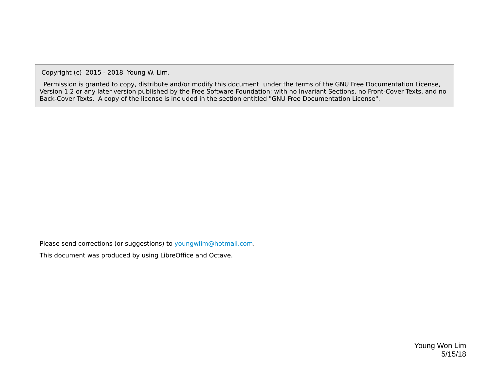Copyright (c) 2015 - 2018 Young W. Lim.

 Permission is granted to copy, distribute and/or modify this document under the terms of the GNU Free Documentation License, Version 1.2 or any later version published by the Free Software Foundation; with no Invariant Sections, no Front-Cover Texts, and no Back-Cover Texts. A copy of the license is included in the section entitled "GNU Free Documentation License".

Please send corrections (or suggestions) to [youngwlim@hotmail.com](mailto:youngwlim@hotmail.com).

This document was produced by using LibreOffice and Octave.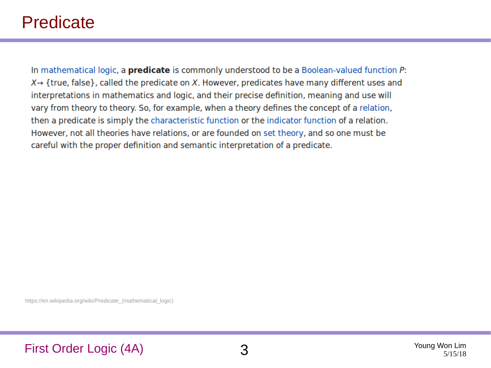### Predicate

In mathematical logic, a **predicate** is commonly understood to be a Boolean-valued function P:  $X \rightarrow$  {true, false}, called the predicate on X. However, predicates have many different uses and interpretations in mathematics and logic, and their precise definition, meaning and use will vary from theory to theory. So, for example, when a theory defines the concept of a relation, then a predicate is simply the characteristic function or the indicator function of a relation. However, not all theories have relations, or are founded on set theory, and so one must be careful with the proper definition and semantic interpretation of a predicate.

https://en.wikipedia.org/wiki/Predicate (mathematical logic)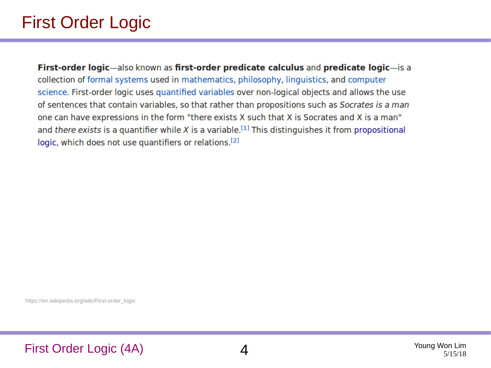## First Order Logic

First-order logic-also known as first-order predicate calculus and predicate logic-is a collection of formal systems used in mathematics, philosophy, linguistics, and computer science. First-order logic uses quantified variables over non-logical objects and allows the use of sentences that contain variables, so that rather than propositions such as Socrates is a man one can have expressions in the form "there exists X such that X is Socrates and X is a man" and there exists is a quantifier while X is a variable.<sup>[1]</sup> This distinguishes it from propositional logic, which does not use quantifiers or relations.<sup>[2]</sup>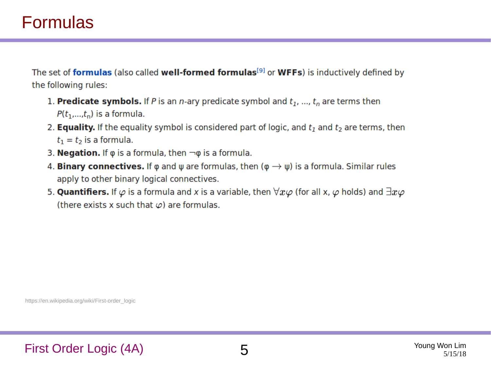## Formulas

The set of **formulas** (also called **well-formed formulas**<sup>[9]</sup> or **WFFs**) is inductively defined by the following rules:

- 1. Predicate symbols. If P is an n-ary predicate symbol and  $t_1$ , ...,  $t_n$  are terms then  $P(t_1,...,t_n)$  is a formula.
- 2. **Equality.** If the equality symbol is considered part of logic, and  $t_1$  and  $t_2$  are terms, then  $t_1 = t_2$  is a formula.
- 3. **Negation.** If  $\varphi$  is a formula, then  $\neg \varphi$  is a formula.
- 4. **Binary connectives.** If  $\varphi$  and  $\psi$  are formulas, then  $(\varphi \rightarrow \psi)$  is a formula. Similar rules apply to other binary logical connectives.
- 5. **Quantifiers.** If  $\varphi$  is a formula and x is a variable, then  $\forall x \varphi$  (for all x,  $\varphi$  holds) and  $\exists x \varphi$ (there exists x such that  $\varphi$ ) are formulas.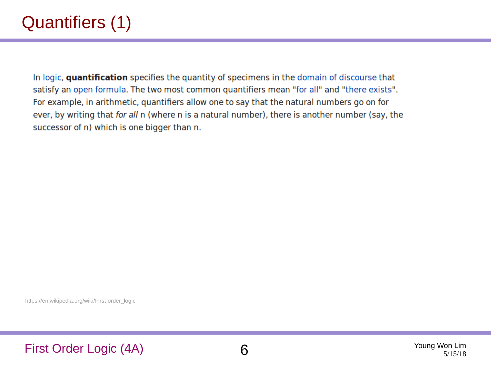## Quantifiers (1)

In logic, quantification specifies the quantity of specimens in the domain of discourse that satisfy an open formula. The two most common quantifiers mean "for all" and "there exists". For example, in arithmetic, quantifiers allow one to say that the natural numbers go on for ever, by writing that for all n (where n is a natural number), there is another number (say, the successor of n) which is one bigger than n.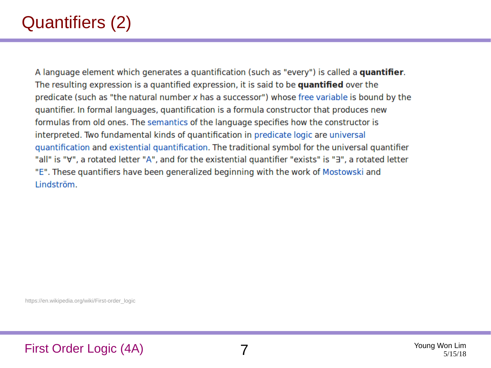## Quantifiers (2)

A language element which generates a quantification (such as "every") is called a quantifier. The resulting expression is a quantified expression, it is said to be quantified over the predicate (such as "the natural number x has a successor") whose free variable is bound by the quantifier. In formal languages, quantification is a formula constructor that produces new formulas from old ones. The semantics of the language specifies how the constructor is interpreted. Two fundamental kinds of quantification in predicate logic are universal quantification and existential quantification. The traditional symbol for the universal quantifier "all" is "∀", a rotated letter "A", and for the existential quantifier "exists" is "∃", a rotated letter "E". These quantifiers have been generalized beginning with the work of Mostowski and Lindström.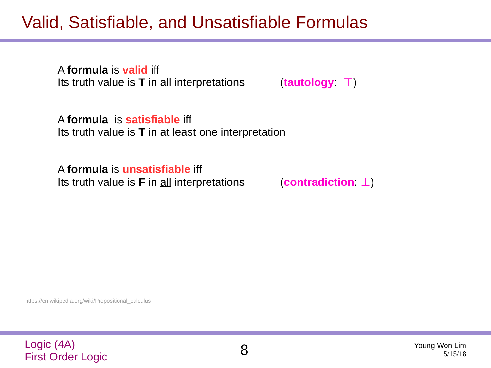## Valid, Satisfiable, and Unsatisfiable Formulas

A **formula** is **valid** iff Its truth value is **T** in all interpretations (**tautology**: ⊤)

A **formula** is **satisfiable** iff Its truth value is **T** in at least one interpretation

A **formula** is **unsatisfiable** iff Its truth value is **F** in all interpretations (**contradiction**: ⊥)

https://en.wikipedia.org/wiki/Propositional\_calculus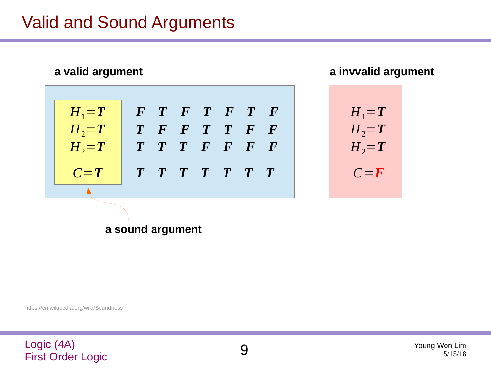## Valid and Sound Arguments

| a valid argument |           |                         |  |                             |  |  |  |  |
|------------------|-----------|-------------------------|--|-----------------------------|--|--|--|--|
|                  | $H_1 = T$ |                         |  | $F$ $T$ $F$ $T$ $F$ $T$ $F$ |  |  |  |  |
|                  | $H_2 = T$ |                         |  | T F F T T F F               |  |  |  |  |
|                  | $H_2 = T$ |                         |  | T T T F F F F               |  |  |  |  |
|                  | $C = T$   | $T$ $T$ $T$ $T$ $T$ $T$ |  |                             |  |  |  |  |
|                  |           |                         |  |                             |  |  |  |  |

**a invvalid argument**



**a sound argument**

https://en.wikipedia.org/wiki/Soundness

### Logic (4A) Logic (4A)<br>First Order Logic 9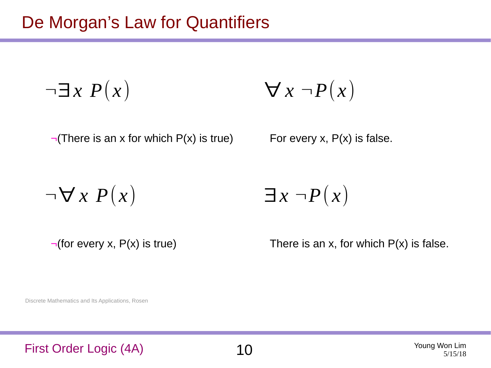$\neg \exists x \; P(x) \qquad \forall x \; \neg P(x)$ 

 $\neg$ (There is an x for which P(x) is true) For every x, P(x) is false.

 $\neg$ ∀ *x P*(*x*)

$$
\exists x \; \neg P(x)
$$

 $\neg$ (for every x, P(x) is true) There is an x, for which P(x) is false.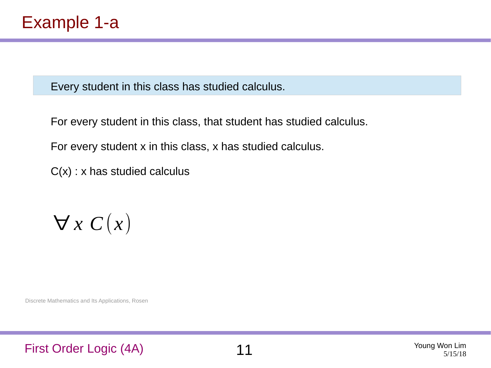For every student in this class, that student has studied calculus.

For every student x in this class, x has studied calculus.

 $C(x)$  : x has studied calculus

 $\forall x C(x)$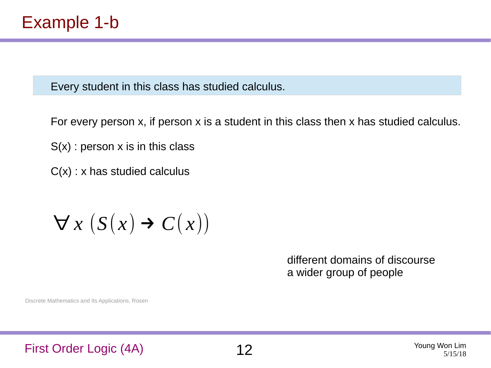For every person x, if person x is a student in this class then x has studied calculus.

 $S(x)$ : person x is in this class

 $C(x)$  : x has studied calculus

## $\forall x (S(x) \rightarrow C(x))$

different domains of discourse a wider group of people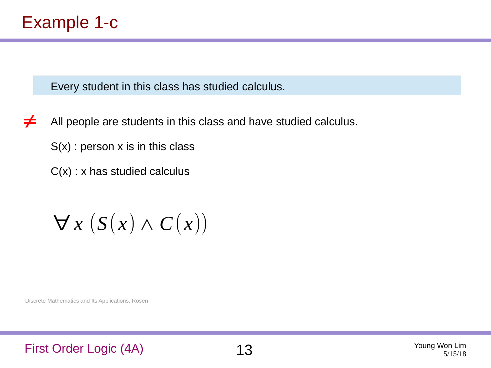All people are students in this class and have studied calculus. ≠

 $S(x)$ : person x is in this class

 $C(x)$  : x has studied calculus

 $\forall$  *x* (*S*(*x*) ∧ *C*(*x*))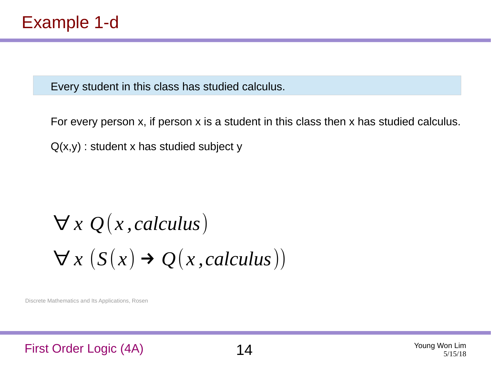For every person x, if person x is a student in this class then x has studied calculus.  $Q(x,y)$ : student x has studied subject y

# $\forall x Q(x, calculus)$  $\forall x (S(x) \rightarrow Q(x, calculus))$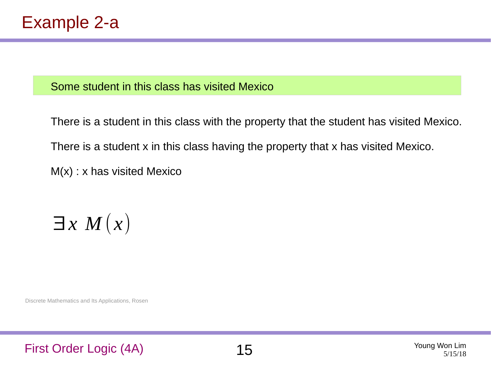### Some student in this class has visited Mexico

There is a student in this class with the property that the student has visited Mexico. There is a student x in this class having the property that x has visited Mexico. M(x) : x has visited Mexico

 $\exists x M(x)$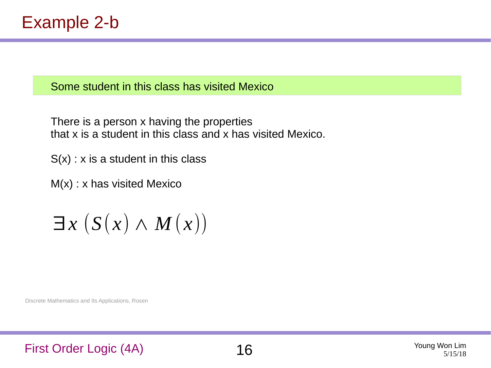### Some student in this class has visited Mexico

There is a person x having the properties that x is a student in this class and x has visited Mexico.

 $S(x)$  : x is a student in this class

M(x) : x has visited Mexico

 $\exists x$   $(S(x) \wedge M(x))$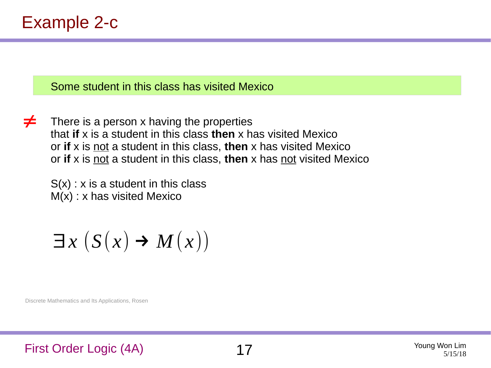Some student in this class has visited Mexico

There is a person x having the properties that **if** x is a student in this class **then** x has visited Mexico or **if** x is not a student in this class, **then** x has visited Mexico or **if** x is not a student in this class, **then** x has not visited Mexico ≠

 $S(x)$ : x is a student in this class M(x) : x has visited Mexico

 $\exists x$  (*S*(*x*)  $\rightarrow$  *M*(*x*))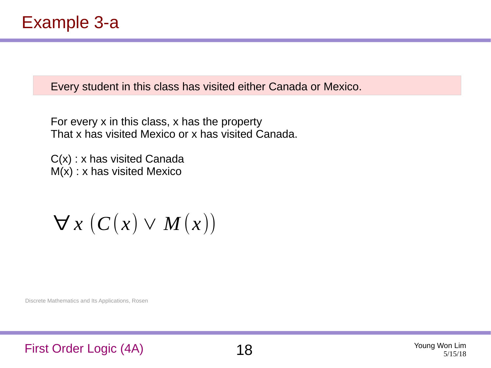Every student in this class has visited either Canada or Mexico.

For every x in this class, x has the property That x has visited Mexico or x has visited Canada.

C(x) : x has visited Canada M(x) : x has visited Mexico

 $\forall x (C(x) \vee M(x))$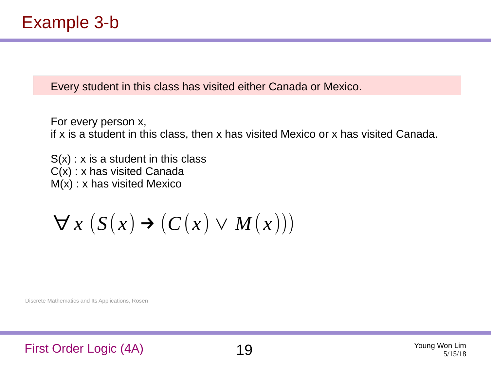Every student in this class has visited either Canada or Mexico.

For every person x, if x is a student in this class, then x has visited Mexico or x has visited Canada.

 $S(x)$ : x is a student in this class C(x) : x has visited Canada M(x) : x has visited Mexico

 $\forall x (S(x) \rightarrow (C(x) \vee M(x)))$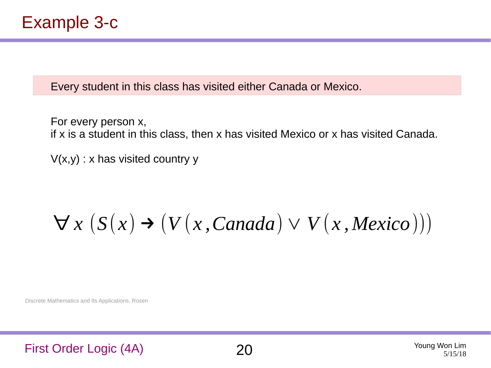Every student in this class has visited either Canada or Mexico.

For every person x, if x is a student in this class, then x has visited Mexico or x has visited Canada.

 $V(x,y)$  : x has visited country y

## $\forall x (S(x) \rightarrow (V(x, Canada) \vee V(x, Mexico)))$

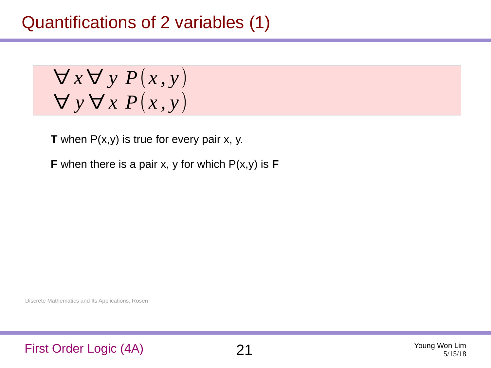$\forall x \forall y P(x, y)$ ∀ *y* ∀ *x P*(*x , y*)

**T** when P(x,y) is true for every pair x, y.

**F** when there is a pair x, y for which P(x,y) is **F**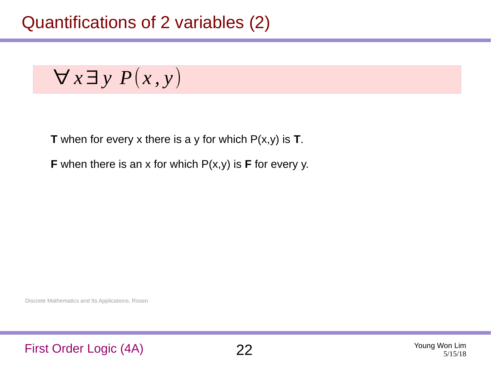$$
\forall x \exists y \; P(x,y)
$$

**T** when for every x there is a y for which P(x,y) is **T**.

**F** when there is an x for which P(x,y) is **F** for every y.

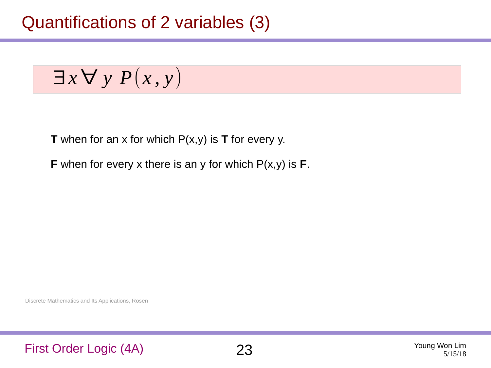## Quantifications of 2 variables (3)

$$
\exists x \forall y \; P(x,y)
$$

**T** when for an x for which P(x,y) is **T** for every y.

**F** when for every x there is an y for which P(x,y) is **F**.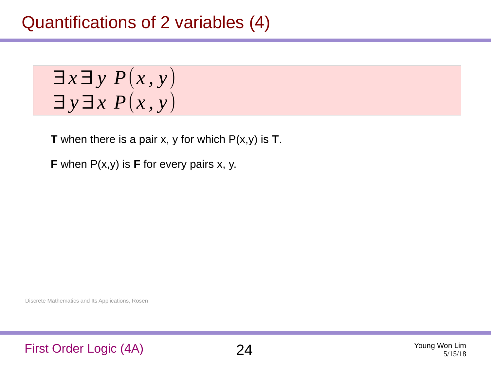## Quantifications of 2 variables (4)

 $\exists x \exists y P(x, y)$ ∃ *y*∃*x P*(*x , y*)

**T** when there is a pair x, y for which P(x,y) is **T**.

**F** when P(x,y) is **F** for every pairs x, y.